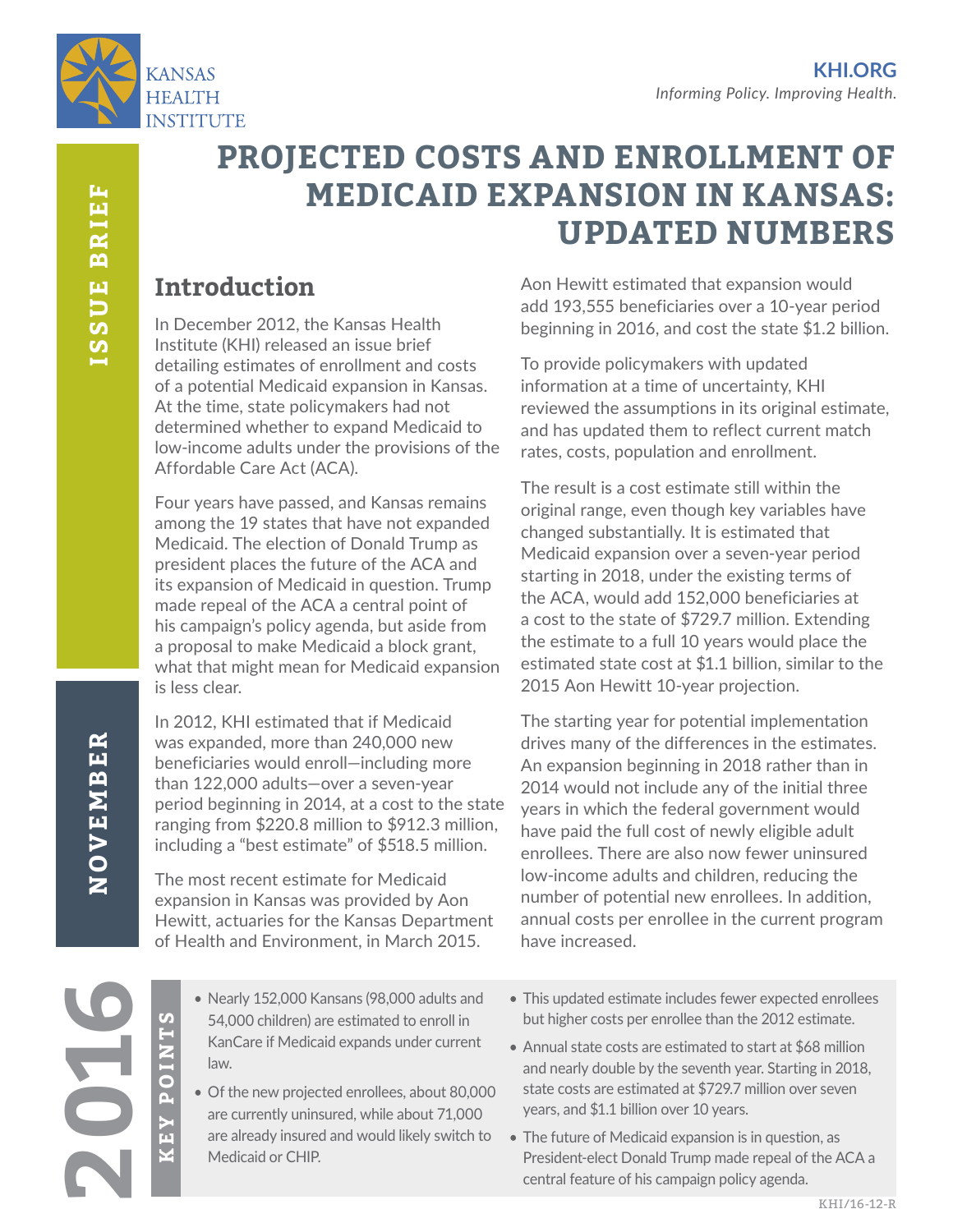

# **PROJECTED COSTS AND ENROLLMENT OF MEDICAID EXPANSION IN KANSAS: UPDATED NUMBERS**

## **Introduction**

In December 2012, the Kansas Health Institute (KHI) released an issue brief detailing estimates of enrollment and costs of a potential Medicaid expansion in Kansas. At the time, state policymakers had not determined whether to expand Medicaid to low-income adults under the provisions of the Affordable Care Act (ACA).

Four years have passed, and Kansas remains among the 19 states that have not expanded Medicaid. The election of Donald Trump as president places the future of the ACA and its expansion of Medicaid in question. Trump made repeal of the ACA a central point of his campaign's policy agenda, but aside from a proposal to make Medicaid a block grant, what that might mean for Medicaid expansion is less clear.

In 2012, KHI estimated that if Medicaid was expanded, more than 240,000 new beneficiaries would enroll—including more than 122,000 adults—over a seven-year period beginning in 2014, at a cost to the state ranging from \$220.8 million to \$912.3 million, including a "best estimate" of \$518.5 million.

The most recent estimate for Medicaid expansion in Kansas was provided by Aon Hewitt, actuaries for the Kansas Department of Health and Environment, in March 2015.

Aon Hewitt estimated that expansion would add 193,555 beneficiaries over a 10-year period beginning in 2016, and cost the state \$1.2 billion.

To provide policymakers with updated information at a time of uncertainty, KHI reviewed the assumptions in its original estimate, and has updated them to reflect current match rates, costs, population and enrollment.

The result is a cost estimate still within the original range, even though key variables have changed substantially. It is estimated that Medicaid expansion over a seven-year period starting in 2018, under the existing terms of the ACA, would add 152,000 beneficiaries at a cost to the state of \$729.7 million. Extending the estimate to a full 10 years would place the estimated state cost at \$1.1 billion, similar to the 2015 Aon Hewitt 10-year projection.

The starting year for potential implementation drives many of the differences in the estimates. An expansion beginning in 2018 rather than in 2014 would not include any of the initial three years in which the federal government would have paid the full cost of newly eligible adult enrollees. There are also now fewer uninsured low-income adults and children, reducing the number of potential new enrollees. In addition, annual costs per enrollee in the current program have increased.

NOVEMBER

**KEY POINTS**

Р<br>Ш

**POINTS** 

- Nearly 152,000 Kansans (98,000 adults and 54,000 children) are estimated to enroll in KanCare if Medicaid expands under current law.
- Of the new projected enrollees, about 80,000 are currently uninsured, while about 71,000 are already insured and would likely switch to Medicaid or CHIP.
- This updated estimate includes fewer expected enrollees but higher costs per enrollee than the 2012 estimate.

• Annual state costs are estimated to start at \$68 million and nearly double by the seventh year. Starting in 2018, state costs are estimated at \$729.7 million over seven years, and \$1.1 billion over 10 years.

• The future of Medicaid expansion is in question, as President-elect Donald Trump made repeal of the ACA a central feature of his campaign policy agenda.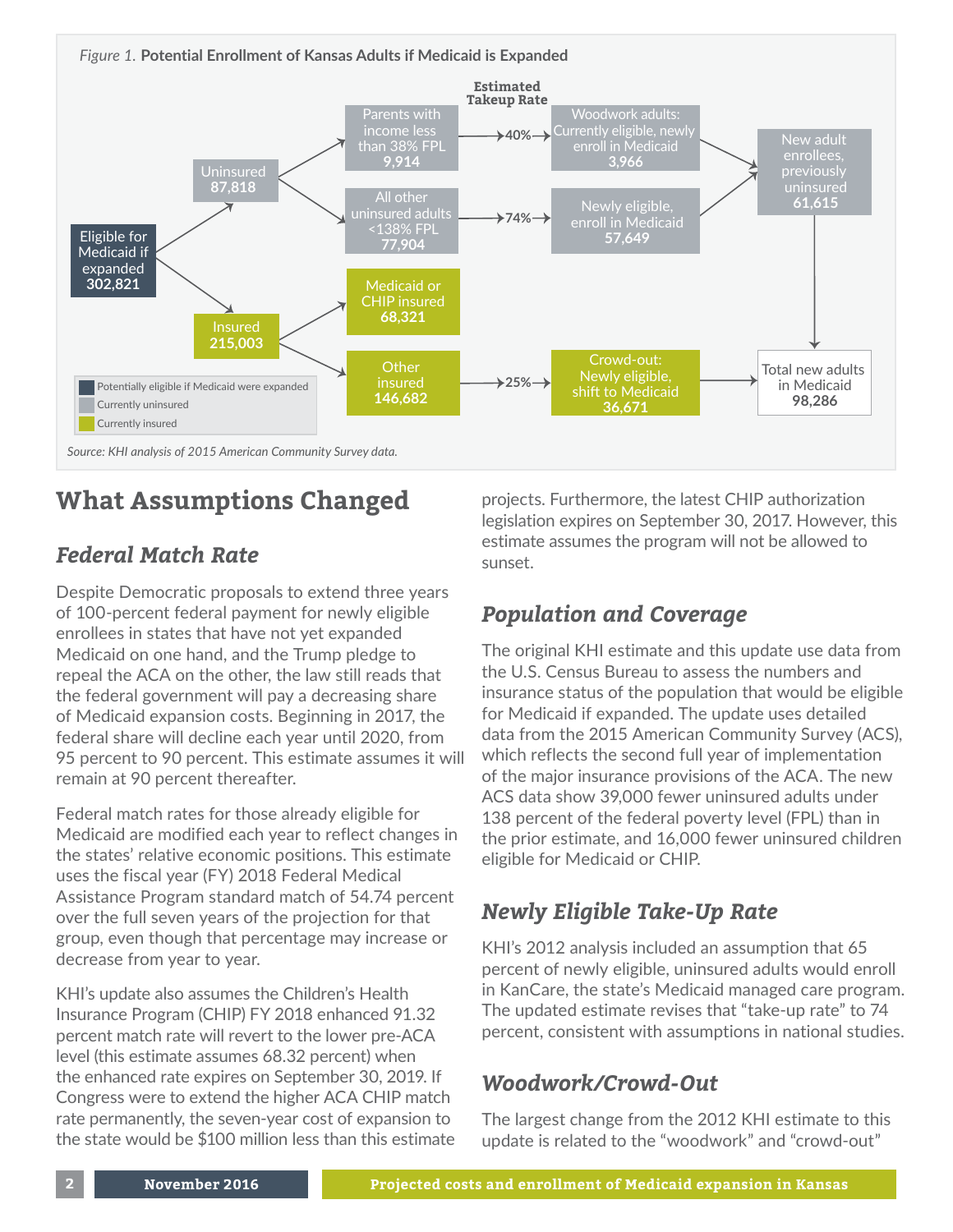*Source: KHI analysis of 2015 American Community Survey data. Figure 1.* **Potential Enrollment of Kansas Adults if Medicaid is Expanded** Eligible for Medicaid if expanded **302,821** Uninsured **87,818** Parents with income less than 38% FPL Estimate<br> **140%**<br> **140%**<br> **140%**<br> **140%**<br> **140%**<br> **140%**<br> **140%**<br> **140%**<br> **140%**<br> **140%**<br> **140%** Woodwork adults: Currently eligible, newly enroll in Medicaid **3,966** Newly eligible, enroll in Medicaid **57,649** enrollees, previously uninsured **61,615** Total new adults in Medicaid **98,286** Crowd-out: Newly eligible, shift to Medicaid **36,671** All other uninsured adults <138% FPL **77,904** Medicaid or CHIP insured **68,321 Other** insured **146,682** Insured **215,003**  $\rightarrow$ 74% $\rightarrow$  $25\%$   $\rightarrow$ **Estimated Takeup Rate** Potentially eligible if Medicaid were expanded **Currently uninsured** Currently insured

## **What Assumptions Changed**

## *Federal Match Rate*

Despite Democratic proposals to extend three years of 100-percent federal payment for newly eligible enrollees in states that have not yet expanded Medicaid on one hand, and the Trump pledge to repeal the ACA on the other, the law still reads that the federal government will pay a decreasing share of Medicaid expansion costs. Beginning in 2017, the federal share will decline each year until 2020, from 95 percent to 90 percent. This estimate assumes it will remain at 90 percent thereafter.

Federal match rates for those already eligible for Medicaid are modified each year to reflect changes in the states' relative economic positions. This estimate uses the fiscal year (FY) 2018 Federal Medical Assistance Program standard match of 54.74 percent over the full seven years of the projection for that group, even though that percentage may increase or decrease from year to year.

KHI's update also assumes the Children's Health Insurance Program (CHIP) FY 2018 enhanced 91.32 percent match rate will revert to the lower pre-ACA level (this estimate assumes 68.32 percent) when the enhanced rate expires on September 30, 2019. If Congress were to extend the higher ACA CHIP match rate permanently, the seven-year cost of expansion to the state would be \$100 million less than this estimate projects. Furthermore, the latest CHIP authorization legislation expires on September 30, 2017. However, this estimate assumes the program will not be allowed to sunset.

## *Population and Coverage*

The original KHI estimate and this update use data from the U.S. Census Bureau to assess the numbers and insurance status of the population that would be eligible for Medicaid if expanded. The update uses detailed data from the 2015 American Community Survey (ACS), which reflects the second full year of implementation of the major insurance provisions of the ACA. The new ACS data show 39,000 fewer uninsured adults under 138 percent of the federal poverty level (FPL) than in the prior estimate, and 16,000 fewer uninsured children eligible for Medicaid or CHIP.

## *Newly Eligible Take-Up Rate*

KHI's 2012 analysis included an assumption that 65 percent of newly eligible, uninsured adults would enroll in KanCare, the state's Medicaid managed care program. The updated estimate revises that "take-up rate" to 74 percent, consistent with assumptions in national studies.

#### *Woodwork/Crowd-Out*

The largest change from the 2012 KHI estimate to this update is related to the "woodwork" and "crowd-out"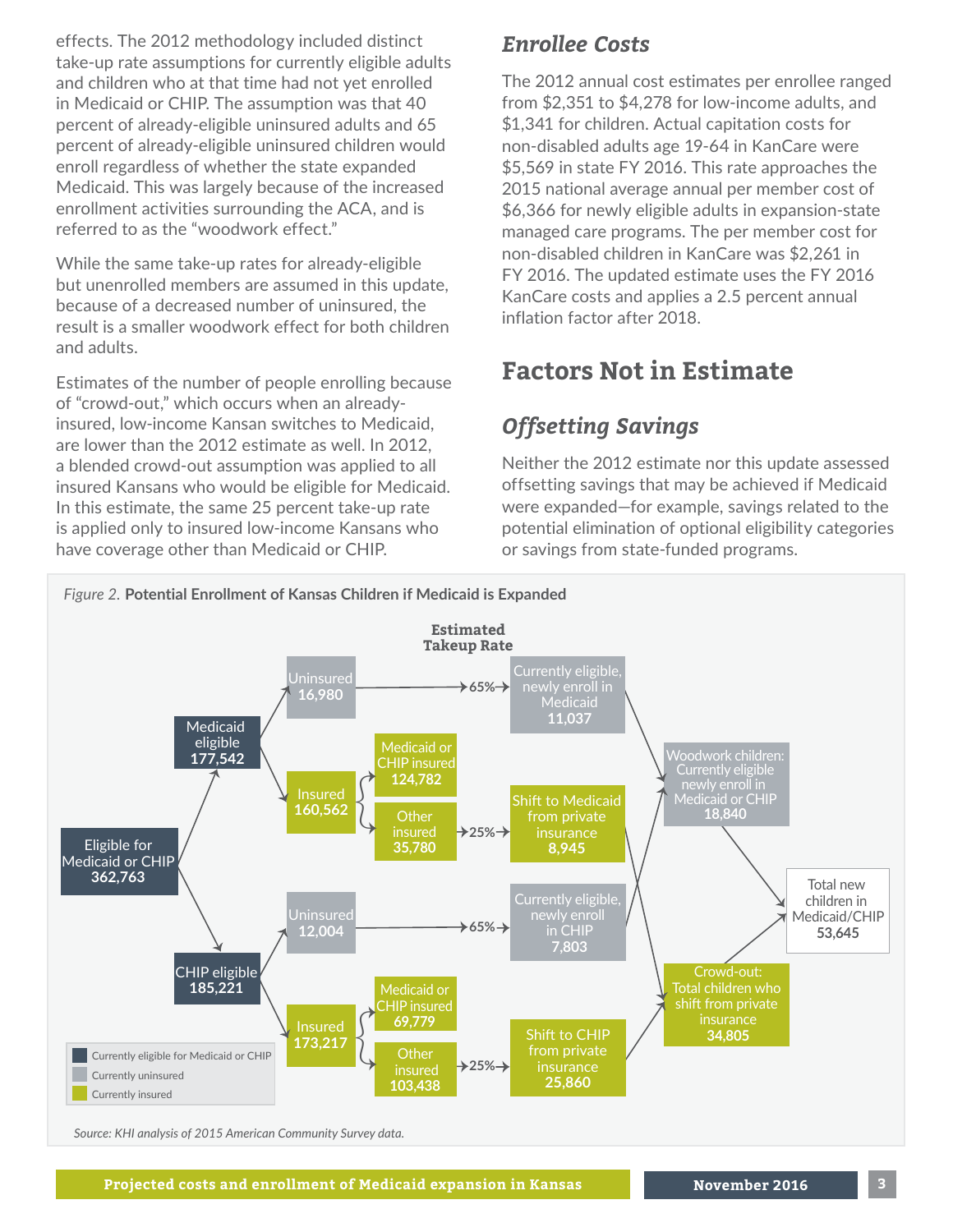effects. The 2012 methodology included distinct take-up rate assumptions for currently eligible adults and children who at that time had not yet enrolled in Medicaid or CHIP. The assumption was that 40 percent of already-eligible uninsured adults and 65 percent of already-eligible uninsured children would enroll regardless of whether the state expanded Medicaid. This was largely because of the increased enrollment activities surrounding the ACA, and is referred to as the "woodwork effect."

While the same take-up rates for already-eligible but unenrolled members are assumed in this update, because of a decreased number of uninsured, the result is a smaller woodwork effect for both children and adults.

Estimates of the number of people enrolling because of "crowd-out," which occurs when an alreadyinsured, low-income Kansan switches to Medicaid, are lower than the 2012 estimate as well. In 2012, a blended crowd-out assumption was applied to all insured Kansans who would be eligible for Medicaid. In this estimate, the same 25 percent take-up rate is applied only to insured low-income Kansans who have coverage other than Medicaid or CHIP.

#### *Enrollee Costs*

The 2012 annual cost estimates per enrollee ranged from \$2,351 to \$4,278 for low-income adults, and \$1,341 for children. Actual capitation costs for non-disabled adults age 19-64 in KanCare were \$5,569 in state FY 2016. This rate approaches the 2015 national average annual per member cost of \$6,366 for newly eligible adults in expansion-state managed care programs. The per member cost for non-disabled children in KanCare was \$2,261 in FY 2016. The updated estimate uses the FY 2016 KanCare costs and applies a 2.5 percent annual inflation factor after 2018.

## **Factors Not in Estimate**

## *Offsetting Savings*

Neither the 2012 estimate nor this update assessed offsetting savings that may be achieved if Medicaid were expanded—for example, savings related to the potential elimination of optional eligibility categories or savings from state-funded programs.



*Source: KHI analysis of 2015 American Community Survey data.*